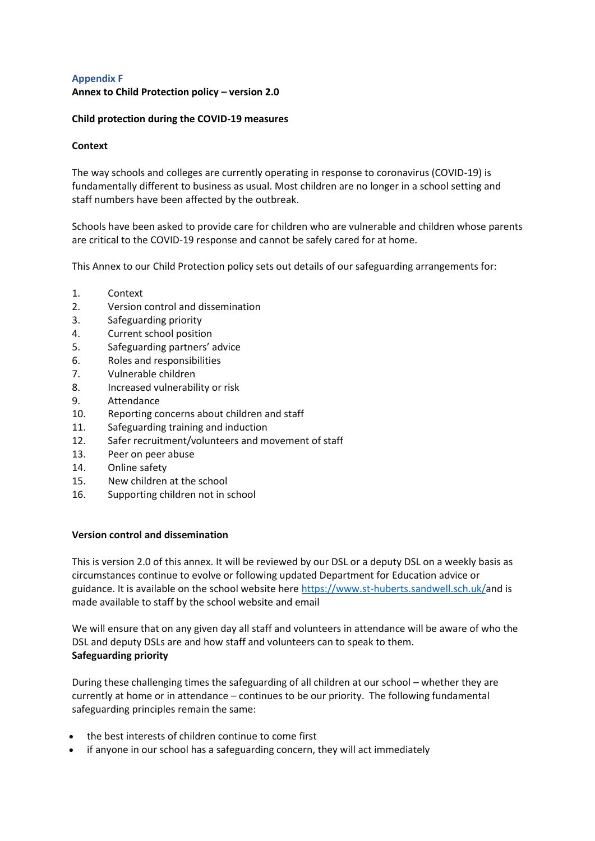# **Appendix F Annex to Child Protection policy – version 2.0**

## **Child protection during the COVID-19 measures**

## **Context**

The way schools and colleges are currently operating in response to coronavirus (COVID-19) is fundamentally different to business as usual. Most children are no longer in a school setting and staff numbers have been affected by the outbreak.

Schools have been asked to provide care for children who are vulnerable and children whose parents are critical to the COVID-19 response and cannot be safely cared for at home.

This Annex to our Child Protection policy sets out details of our safeguarding arrangements for:

- 1. Context
- 2. Version control and dissemination
- 3. Safeguarding priority
- 4. Current school position
- 5. Safeguarding partners' advice
- 6. Roles and responsibilities
- 7. Vulnerable children
- 8. Increased vulnerability or risk
- 9. Attendance
- 10. Reporting concerns about children and staff
- 11. Safeguarding training and induction
- 12. Safer recruitment/volunteers and movement of staff
- 13. Peer on peer abuse
- 14. Online safety
- 15. New children at the school
- 16. Supporting children not in school

## **Version control and dissemination**

This is version 2.0 of this annex. It will be reviewed by our DSL or a deputy DSL on a weekly basis as circumstances continue to evolve or following updated Department for Education advice or guidance. It is available on the school website her[e https://www.st-huberts.sandwell.sch.uk/a](https://www.st-huberts.sandwell.sch.uk/)nd is made available to staff by the school website and email

We will ensure that on any given day all staff and volunteers in attendance will be aware of who the DSL and deputy DSLs are and how staff and volunteers can to speak to them. **Safeguarding priority**

During these challenging times the safeguarding of all children at our school – whether they are currently at home or in attendance – continues to be our priority. The following fundamental safeguarding principles remain the same:

- the best interests of children continue to come first
- if anyone in our school has a safeguarding concern, they will act immediately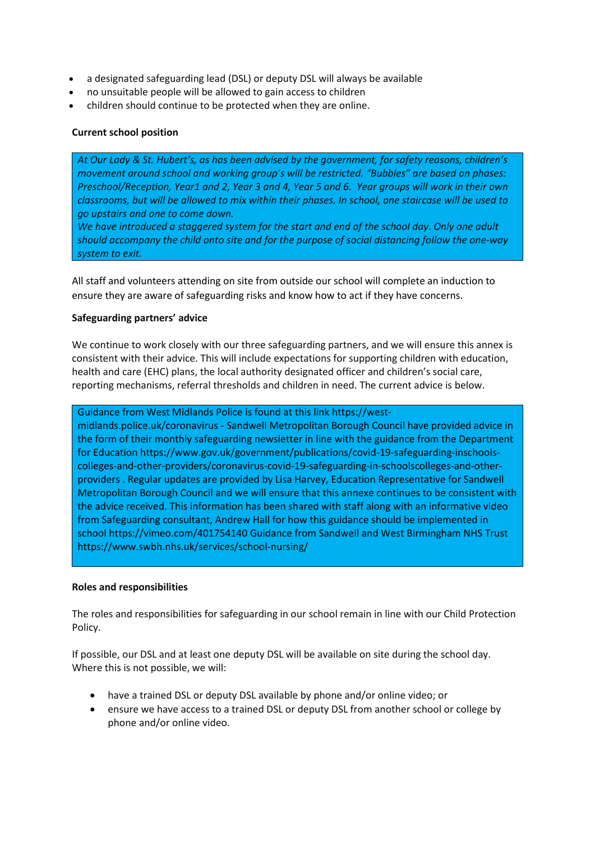- a designated safeguarding lead (DSL) or deputy DSL will always be available
- no unsuitable people will be allowed to gain access to children
- children should continue to be protected when they are online.

## **Current school position**

*At Our Lady & St. Hubert's, as has been advised by the government, for safety reasons, children's movement around school and working group's will be restricted. "Bubbles" are based on phases: Preschool/Reception, Year1 and 2, Year 3 and 4, Year 5 and 6. Year groups will work in their own classrooms, but will be allowed to mix within their phases. In school, one staircase will be used to go upstairs and one to come down.*

*We have introduced a staggered system for the start and end of the school day. Only one adult should accompany the child onto site and for the purpose of social distancing follow the one-way system to exit.*

All staff and volunteers attending on site from outside our school will complete an induction to ensure they are aware of safeguarding risks and know how to act if they have concerns.

#### **Safeguarding partners' advice**

We continue to work closely with our three safeguarding partners, and we will ensure this annex is consistent with their advice. This will include expectations for supporting children with education, health and care (EHC) plans, the local authority designated officer and children's social care, reporting mechanisms, referral thresholds and children in need. The current advice is below.

#### Guidance from West Midlands Police is found at this link https://west-

midlands.police.uk/coronavirus - Sandwell Metropolitan Borough Council have provided advice in the form of their monthly safeguarding newsletter in line with the guidance from the Department for Education https://www.gov.uk/government/publications/covid-19-safeguarding-inschoolscolleges-and-other-providers/coronavirus-covid-19-safeguarding-in-schoolscolleges-and-otherproviders . Regular updates are provided by Lisa Harvey, Education Representative for Sandwell Metropolitan Borough Council and we will ensure that this annexe continues to be consistent with the advice received. This information has been shared with staff along with an informative video from Safeguarding consultant, Andrew Hall for how this guidance should be implemented in school https://vimeo.com/401754140 Guidance from Sandwell and West Birmingham NHS Trust https://www.swbh.nhs.uk/services/school-nursing/

#### **Roles and responsibilities**

The roles and responsibilities for safeguarding in our school remain in line with our Child Protection Policy.

If possible, our DSL and at least one deputy DSL will be available on site during the school day. Where this is not possible, we will:

- have a trained DSL or deputy DSL available by phone and/or online video; or
- ensure we have access to a trained DSL or deputy DSL from another school or college by phone and/or online video.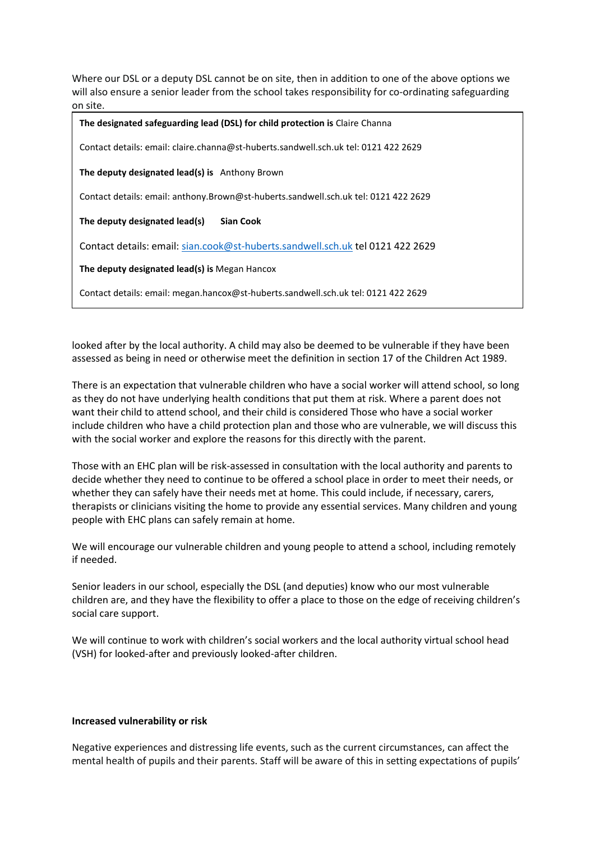Where our DSL or a deputy DSL cannot be on site, then in addition to one of the above options we will also ensure a senior leader from the school takes responsibility for co-ordinating safeguarding on site.

**The designated safeguarding lead (DSL) for child protection is** Claire Channa Contact details: email: claire.channa@st-huberts.sandwell.sch.uk tel: 0121 422 2629 **The deputy designated lead(s) is** Anthony Brown Contact details: email: anthony.Brown@st-huberts.sandwell.sch.uk tel: 0121 422 2629 **The deputy designated lead(s) Sian Cook** Contact details: email: [sian.cook@st-huberts.sandwell.sch.uk](mailto:sian.cook@st-huberts.sandwell.sch.uk) tel 0121 422 2629 **The deputy designated lead(s) is** Megan Hancox

Contact details: email: megan.hancox@st-huberts.sandwell.sch.uk tel: 0121 422 2629

looked after by the local authority. A child may also be deemed to be vulnerable if they have been assessed as being in need or otherwise meet the definition in section 17 of the Children Act 1989.

There is an expectation that vulnerable children who have a social worker will attend school, so long as they do not have underlying health conditions that put them at risk. Where a parent does not want their child to attend school, and their child is considered Those who have a social worker include children who have a child protection plan and those who are vulnerable, we will discuss this with the social worker and explore the reasons for this directly with the parent.

Those with an EHC plan will be risk-assessed in consultation with the local authority and parents to decide whether they need to continue to be offered a school place in order to meet their needs, or whether they can safely have their needs met at home. This could include, if necessary, carers, therapists or clinicians visiting the home to provide any essential services. Many children and young people with EHC plans can safely remain at home.

We will encourage our vulnerable children and young people to attend a school, including remotely if needed.

Senior leaders in our school, especially the DSL (and deputies) know who our most vulnerable children are, and they have the flexibility to offer a place to those on the edge of receiving children's social care support.

We will continue to work with children's social workers and the local authority virtual school head (VSH) for looked-after and previously looked-after children.

#### **Increased vulnerability or risk**

Negative experiences and distressing life events, such as the current circumstances, can affect the mental health of pupils and their parents. Staff will be aware of this in setting expectations of pupils'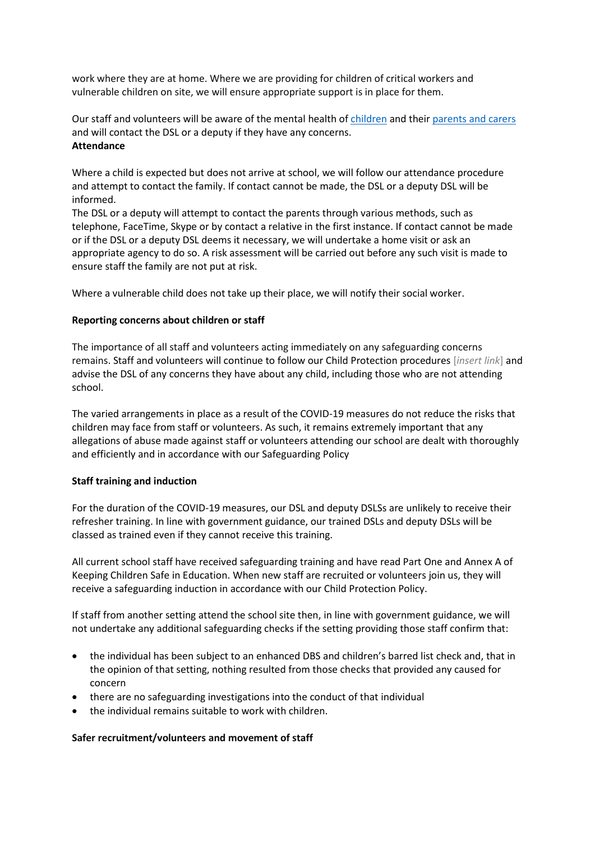work where they are at home. Where we are providing for children of critical workers and vulnerable children on site, we will ensure appropriate support is in place for them.

Our staff and volunteers will be aware of the mental health of [children](https://safeguarding.network/safeguarding-resources/specific-risks-children-additional-needs/mental-health/) and their [parents and carers](https://safeguarding.network/safeguarding-resources/parental-issues/parental-mental-ill-health/) and will contact the DSL or a deputy if they have any concerns. **Attendance** 

Where a child is expected but does not arrive at school, we will follow our attendance procedure and attempt to contact the family. If contact cannot be made, the DSL or a deputy DSL will be informed.

The DSL or a deputy will attempt to contact the parents through various methods, such as telephone, FaceTime, Skype or by contact a relative in the first instance. If contact cannot be made or if the DSL or a deputy DSL deems it necessary, we will undertake a home visit or ask an appropriate agency to do so. A risk assessment will be carried out before any such visit is made to ensure staff the family are not put at risk.

Where a vulnerable child does not take up their place, we will notify their social worker.

## **Reporting concerns about children or staff**

The importance of all staff and volunteers acting immediately on any safeguarding concerns remains. Staff and volunteers will continue to follow our Child Protection procedures [*insert link*] and advise the DSL of any concerns they have about any child, including those who are not attending school.

The varied arrangements in place as a result of the COVID-19 measures do not reduce the risks that children may face from staff or volunteers. As such, it remains extremely important that any allegations of abuse made against staff or volunteers attending our school are dealt with thoroughly and efficiently and in accordance with our Safeguarding Policy

## **Staff training and induction**

For the duration of the COVID-19 measures, our DSL and deputy DSLSs are unlikely to receive their refresher training. In line with government guidance, our trained DSLs and deputy DSLs will be classed as trained even if they cannot receive this training.

All current school staff have received safeguarding training and have read Part One and Annex A of Keeping Children Safe in Education. When new staff are recruited or volunteers join us, they will receive a safeguarding induction in accordance with our Child Protection Policy.

If staff from another setting attend the school site then, in line with government guidance, we will not undertake any additional safeguarding checks if the setting providing those staff confirm that:

- the individual has been subject to an enhanced DBS and children's barred list check and, that in the opinion of that setting, nothing resulted from those checks that provided any caused for concern
- there are no safeguarding investigations into the conduct of that individual
- the individual remains suitable to work with children.

## **Safer recruitment/volunteers and movement of staff**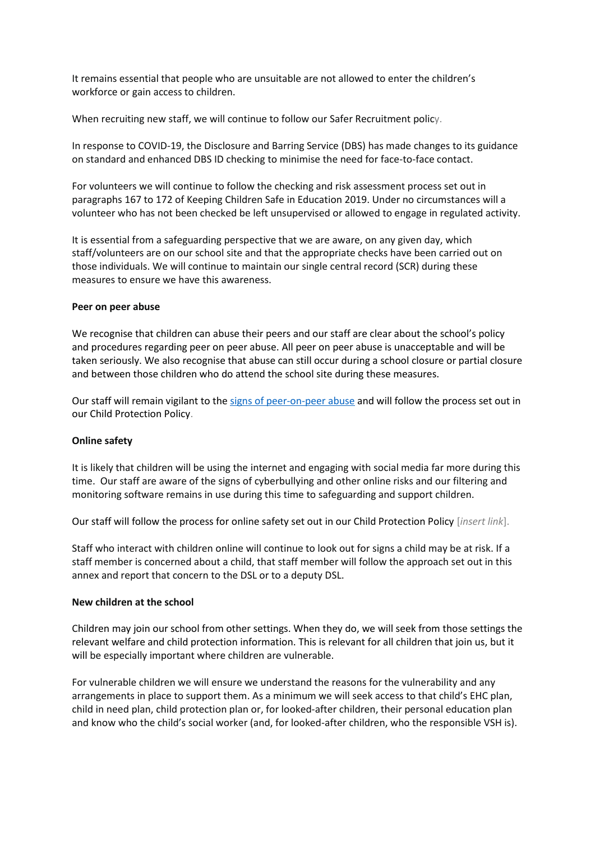It remains essential that people who are unsuitable are not allowed to enter the children's workforce or gain access to children.

When recruiting new staff, we will continue to follow our Safer Recruitment policy.

In response to COVID-19, the Disclosure and Barring Service (DBS) has made changes to its guidance on standard and enhanced DBS ID checking to minimise the need for face-to-face contact.

For volunteers we will continue to follow the checking and risk assessment process set out in paragraphs 167 to 172 of Keeping Children Safe in Education 2019. Under no circumstances will a volunteer who has not been checked be left unsupervised or allowed to engage in regulated activity.

It is essential from a safeguarding perspective that we are aware, on any given day, which staff/volunteers are on our school site and that the appropriate checks have been carried out on those individuals. We will continue to maintain our single central record (SCR) during these measures to ensure we have this awareness.

#### **Peer on peer abuse**

We recognise that children can abuse their peers and our staff are clear about the school's policy and procedures regarding peer on peer abuse. All peer on peer abuse is unacceptable and will be taken seriously. We also recognise that abuse can still occur during a school closure or partial closure and between those children who do attend the school site during these measures.

Our staff will remain vigilant to the [signs of peer-on-peer abuse](file:///C:/Users/Christine/AppData/Local/Microsoft/Windows/INetCache/Content.Outlook/0CGV3O2R/safeguarding.network/peer-on-peer) and will follow the process set out in our Child Protection Policy.

## **Online safety**

It is likely that children will be using the internet and engaging with social media far more during this time. Our staff are aware of the signs of cyberbullying and other online risks and our filtering and monitoring software remains in use during this time to safeguarding and support children.

Our staff will follow the process for online safety set out in our Child Protection Policy [*insert link*].

Staff who interact with children online will continue to look out for signs a child may be at risk. If a staff member is concerned about a child, that staff member will follow the approach set out in this annex and report that concern to the DSL or to a deputy DSL.

#### **New children at the school**

Children may join our school from other settings. When they do, we will seek from those settings the relevant welfare and child protection information. This is relevant for all children that join us, but it will be especially important where children are vulnerable.

For vulnerable children we will ensure we understand the reasons for the vulnerability and any arrangements in place to support them. As a minimum we will seek access to that child's EHC plan, child in need plan, child protection plan or, for looked-after children, their personal education plan and know who the child's social worker (and, for looked-after children, who the responsible VSH is).